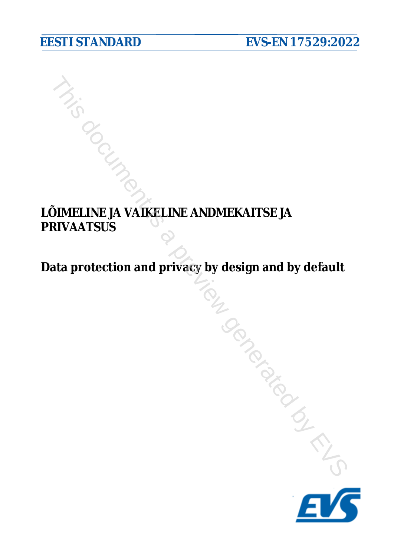# **LÕIMELINE JA VAIKELINE ANDMEKAITSE JA PRIVAATSUS DOIMELINE JA VAIKELINE ANDMEKAITSE JA**<br>Data protection and privacy by design and by default<br>Data protection and privacy by design and by default

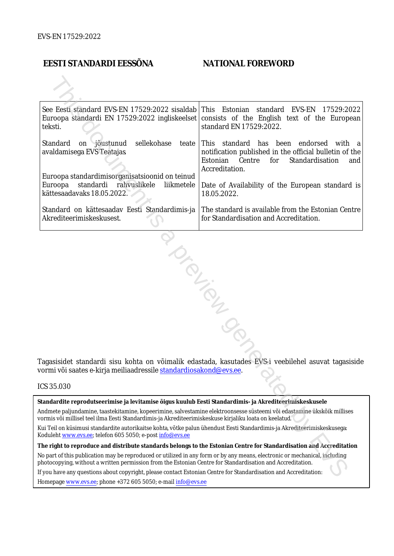### **EESTI STANDARDI EESSÕNA NATIONAL FOREWORD**

| See Eesti standard EVS-EN 17529:2022 sisaldab This Estonian<br>teksti.                                                                                                                                             | standard EVS-EN<br>17529:2022<br>Euroopa standardi EN 17529:2022 ingliskeelset consists of the English text of the European<br>standard EN 17529:2022.                                                                                       |
|--------------------------------------------------------------------------------------------------------------------------------------------------------------------------------------------------------------------|----------------------------------------------------------------------------------------------------------------------------------------------------------------------------------------------------------------------------------------------|
| sellekohase<br>Standard<br>on jõustunud<br>teate  <br>avaldamisega EVS Teatajas<br>Euroopa standardimisorganisatsioonid on teinud<br>standardi rahvuslikele<br>Euroopa<br>liikmetele<br>kättesaadavaks 18.05.2022. | This standard has been endorsed with a<br>notification published in the official bulletin of the<br>Estonian<br>Centre<br>for<br>Standardisation<br>and<br>Accreditation.<br>Date of Availability of the European standard is<br>18.05.2022. |
| Standard on kättesaadav Eesti Standardimis-ja<br>Akrediteerimiskeskusest.                                                                                                                                          | The standard is available from the Estonian Centre<br>for Standardisation and Accreditation.                                                                                                                                                 |
|                                                                                                                                                                                                                    | <b>PLICATION</b>                                                                                                                                                                                                                             |

Tagasisidet standardi sisu kohta on võimalik edastada, kasutades EVS-i veebilehel asuvat tagasiside vormi või saates e-kirja meiliaadressile standardiosakond@evs.ee.

### ICS 35.030

**Standardite reprodutseerimise ja levitamise õigus kuulub Eesti Standardimis- ja Akrediteerimiskeskusele**

Andmete paljundamine, taastekitamine, kopeerimine, salvestamine elektroonsesse süsteemi või edastamine ükskõik millises vormis või millisel teel ilma Eesti Standardimis-ja Akrediteerimiskeskuse kirjaliku loata on keelatud.

Kui Teil on küsimusi standardite autorikaitse kohta, võtke palun ühendust Eesti Standardimis-ja Akrediteerimiskeskusega: Koduleht www.evs.ee; telefon 605 5050; e-post info@evs.ee

**The right to reproduce and distribute standards belongs to the Estonian Centre for Standardisation and Accreditation** No part of this publication may be reproduced or utilized in any form or by any means, electronic or mechanical, including photocopying, without a written permission from the Estonian Centre for Standardisation and Accreditation.

If you have any questions about copyright, please contact Estonian Centre for Standardisation and Accreditation:

Homepage [www.evs.ee](http://www.evs.ee/); phone +372 605 5050; e-mail info@evs.ee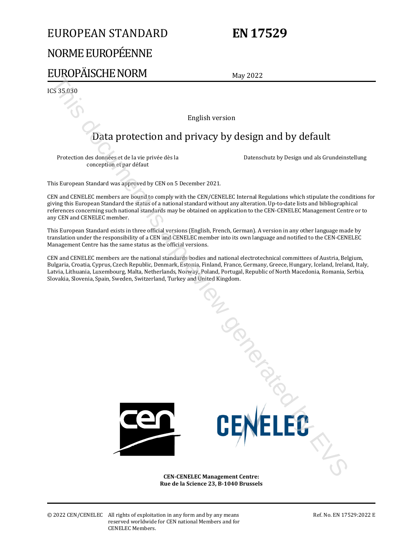# EUROPEAN STANDARD

# **EN 17529**

# NORME EUROPÉENNE

# EUROPÄISCHE NORM

May 2022

ICS 35.030

English version

# Data protection and privacy by design and by default

Protection des données et de la vie privée dès la conception et par défaut

Datenschutz by Design und als Grundeinstellung

This European Standard was approved by CEN on 5 December 2021.

CEN and CENELEC members are bound to comply with the CEN/CENELEC Internal Regulations which stipulate the conditions for giving this European Standard the status of a national standard without any alteration. Up-to-date lists and bibliographical references concerning such national standards may be obtained on application to the CEN-CENELEC Management Centre or to any CEN and CENELEC member.

This European Standard exists in three official versions (English, French, German). A version in any other language made by translation under the responsibility of a CEN and CENELEC member into its own language and notified to the CEN-CENELEC Management Centre has the same status as the official versions.

CEN and CENELEC members are the national standards bodies and national electrotechnical committees of Austria, Belgium, Bulgaria, Croatia, Cyprus, Czech Republic, Denmark, Estonia, Finland, France, Germany, Greece, Hungary, Iceland, Ireland, Italy, Latvia, Lithuania, Luxembourg, Malta, Netherlands, Norway, Poland, Portugal, Republic of North Macedonia, Romania, Serbia, Slovakia, Slovenia, Spain, Sweden, Switzerland, Turkey and United Kingdom. This document is a protection and privacy by design and by default<br>
Truetation des documents en de la représe de la<br>
Protection des documents en présente avec de la<br>
Decenduate ly Design ont des la reconsiderate de la<br>
Thi



**CEN-CENELEC Management Centre: Rue de la Science 23, B-1040 Brussels** 

© 2022 CEN/CENELEC All rights of exploitation in any form and by any means reserved worldwide for CEN national Members and for CENELEC Members.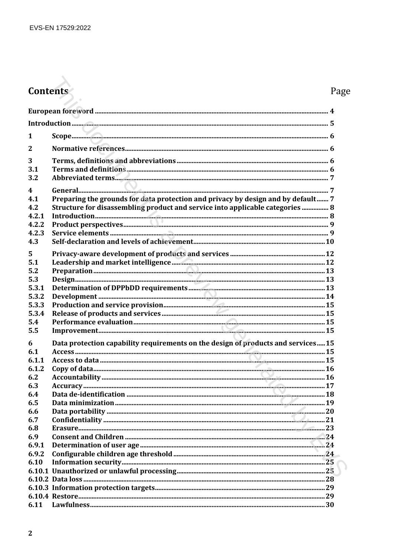# Contents

# Page

| 1                       |                                                                                  |  |
|-------------------------|----------------------------------------------------------------------------------|--|
| $\overline{2}$          |                                                                                  |  |
| 3                       |                                                                                  |  |
| 3.1                     |                                                                                  |  |
| 3.2                     |                                                                                  |  |
| $\overline{\mathbf{4}}$ |                                                                                  |  |
| 4.1                     | Preparing the grounds for data protection and privacy by design and by default 7 |  |
| 4.2                     | Structure for disassembling product and service into applicable categories  8    |  |
| 4.2.1                   |                                                                                  |  |
| 4.2.2                   |                                                                                  |  |
| 4.2.3                   |                                                                                  |  |
| 4.3                     |                                                                                  |  |
|                         |                                                                                  |  |
| 5                       |                                                                                  |  |
| 5.1                     |                                                                                  |  |
| 5.2                     |                                                                                  |  |
| 5.3                     |                                                                                  |  |
| 5.3.1                   |                                                                                  |  |
| 5.3.2                   |                                                                                  |  |
| 5.3.3                   |                                                                                  |  |
| 5.3.4                   |                                                                                  |  |
| 5.4                     |                                                                                  |  |
| 5.5                     |                                                                                  |  |
| 6                       | Data protection capability requirements on the design of products and services15 |  |
| 6.1                     |                                                                                  |  |
| 6.1.1                   |                                                                                  |  |
| 6.1.2                   |                                                                                  |  |
| 6.2                     |                                                                                  |  |
| 6.3                     |                                                                                  |  |
| 6.4                     |                                                                                  |  |
| 6.5                     |                                                                                  |  |
| 6.6                     |                                                                                  |  |
| 6.7                     |                                                                                  |  |
| 6.8                     |                                                                                  |  |
| 6.9                     |                                                                                  |  |
| 6.9.1                   |                                                                                  |  |
| 6.9.2                   |                                                                                  |  |
| 6.10                    |                                                                                  |  |
|                         |                                                                                  |  |
|                         |                                                                                  |  |
|                         |                                                                                  |  |
|                         |                                                                                  |  |
| 6.11                    |                                                                                  |  |
|                         |                                                                                  |  |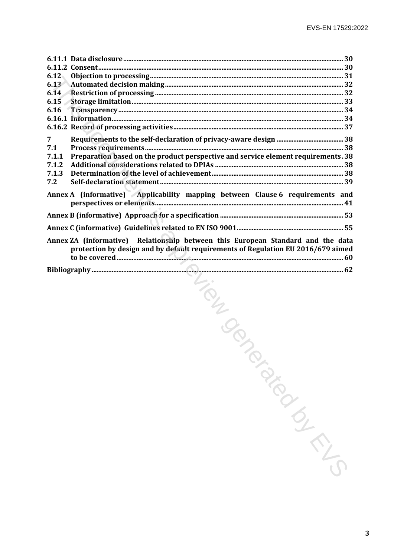| 6.12           |                                                                                                                                                                     |            |  |
|----------------|---------------------------------------------------------------------------------------------------------------------------------------------------------------------|------------|--|
| 6.13<br>6.14   |                                                                                                                                                                     |            |  |
| 6.15           |                                                                                                                                                                     |            |  |
| 6.16           |                                                                                                                                                                     |            |  |
|                |                                                                                                                                                                     |            |  |
|                |                                                                                                                                                                     |            |  |
| 7              |                                                                                                                                                                     |            |  |
| 7.1            |                                                                                                                                                                     |            |  |
| 7.1.1<br>7.1.2 | Preparation based on the product perspective and service element requirements. 38                                                                                   |            |  |
| 7.1.3          |                                                                                                                                                                     |            |  |
| 7.2            |                                                                                                                                                                     |            |  |
|                | Annex A (informative) Applicability mapping between Clause 6 requirements and                                                                                       |            |  |
|                |                                                                                                                                                                     |            |  |
|                | Annex ZA (informative) Relationship between this European Standard and the data<br>protection by design and by default requirements of Regulation EU 2016/679 aimed |            |  |
|                |                                                                                                                                                                     |            |  |
|                | -Tier Cent                                                                                                                                                          | TON BISCON |  |
|                |                                                                                                                                                                     |            |  |
|                |                                                                                                                                                                     |            |  |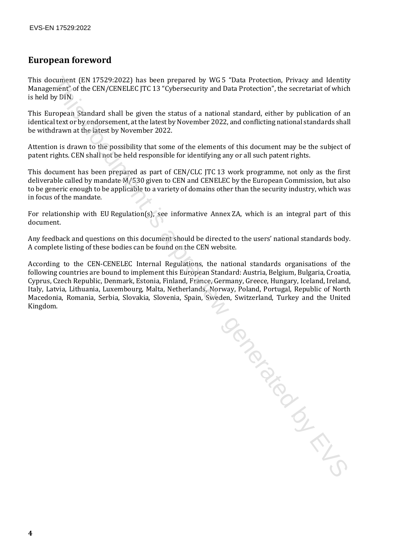### **European foreword**

This document (EN 17529:2022) has been prepared by WG 5 "Data Protection, Privacy and Identity Management" of the CEN/CENELEC JTC 13 "Cybersecurity and Data Protection", the secretariat of which is held by DIN.

This European Standard shall be given the status of a national standard, either by publication of an identical text or by endorsement, at the latest by November 2022, and conflicting national standards shall be withdrawn at the latest by November 2022.

Attention is drawn to the possibility that some of the elements of this document may be the subject of patent rights. CEN shall not be held responsible for identifying any or all such patent rights.

This document has been prepared as part of CEN/CLC JTC 13 work programme, not only as the first deliverable called by mandate M/530 given to CEN and CENELEC by the European Commission, but also to be generic enough to be applicable to a variety of domains other than the security industry, which was in focus of the mandate.

For relationship with EU Regulation(s), see informative Annex ZA, which is an integral part of this document.

Any feedback and questions on this document should be directed to the users' national standards body. A complete listing of these bodies can be found on the CEN website.

According to the CEN-CENELEC Internal Regulations, the national standards organisations of the following countries are bound to implement this European Standard: Austria, Belgium, Bulgaria, Croatia, Cyprus, Czech Republic, Denmark, Estonia, Finland, France, Germany, Greece, Hungary, Iceland, Ireland, Italy, Latvia, Lithuania, Luxembourg, Malta, Netherlands, Norway, Poland, Portugal, Republic of North Macedonia, Romania, Serbia, Slovakia, Slovenia, Spain, Sweden, Switzerland, Turkey and the United Kingdom.

This document is a previous contract of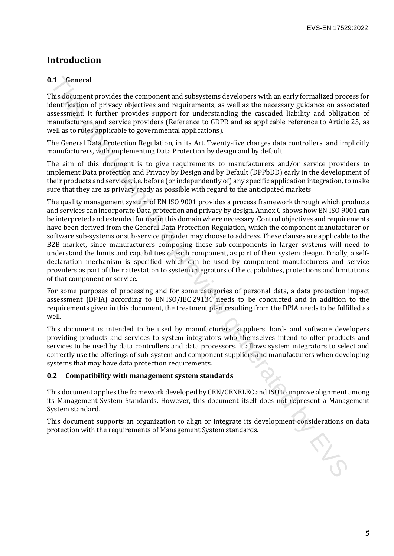## **Introduction**

### **0.1 General**

This document provides the component and subsystems developers with an early formalized process for identification of privacy objectives and requirements, as well as the necessary guidance on associated assessment. It further provides support for understanding the cascaded liability and obligation of manufacturers and service providers (Reference to GDPR and as applicable reference to Article 25, as well as to rules applicable to governmental applications).

The General Data Protection Regulation, in its Art. Twenty-five charges data controllers, and implicitly manufacturers, with implementing Data Protection by design and by default.

The aim of this document is to give requirements to manufacturers and/or service providers to implement Data protection and Privacy by Design and by Default (DPPbDD) early in the development of their products and services, i.e. before (or independently of) any specific application integration, to make sure that they are as privacy ready as possible with regard to the anticipated markets.

The quality management system of EN ISO 9001 provides a process framework through which products and services can incorporate Data protection and privacy by design. Annex C shows how EN ISO 9001 can be interpreted and extended for use in this domain where necessary. Control objectives and requirements have been derived from the General Data Protection Regulation, which the component manufacturer or software sub-systems or sub-service provider may choose to address. These clauses are applicable to the B2B market, since manufacturers composing these sub-components in larger systems will need to understand the limits and capabilities of each component, as part of their system design. Finally, a selfdeclaration mechanism is specified which can be used by component manufacturers and service providers as part of their attestation to system integrators of the capabilities, protections and limitations of that component or service. 1. **General**<br>
This document provides the component and subsystems developers with an early formalized procedured<br>thresholomology objectives and cruiternate, as well as the necessary guidance on assesses<br>
Steesment It furt

For some purposes of processing and for some categories of personal data, a data protection impact assessment (DPIA) according to EN ISO/IEC 29134 needs to be conducted and in addition to the requirements given in this document, the treatment plan resulting from the DPIA needs to be fulfilled as well.

This document is intended to be used by manufacturers, suppliers, hard- and software developers providing products and services to system integrators who themselves intend to offer products and services to be used by data controllers and data processors. It allows system integrators to select and correctly use the offerings of sub-system and component suppliers and manufacturers when developing systems that may have data protection requirements.

### **0.2 Compatibility with management system standards**

This document applies the framework developed by CEN/CENELEC and ISO to improve alignment among its Management System Standards. However, this document itself does not represent a Management System standard.

This document supports an organization to align or integrate its development considerations on data protection with the requirements of Management System standards.